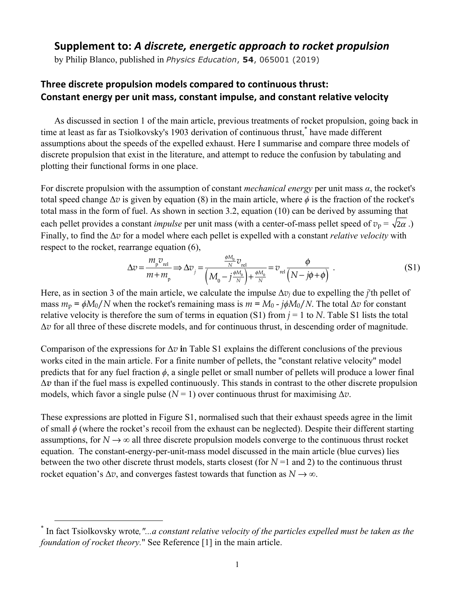## Supplement to: A discrete, energetic approach to rocket propulsion

by Philip Blanco, published in *Physics Education*, **54**, 065001 (2019)

## Three discrete propulsion models compared to continuous thrust: **Constant energy per unit mass, constant impulse, and constant relative velocity**

As discussed in section 1 of the main article, previous treatments of rocket propulsion, going back in time at least as far as Tsiolkovsky's 1903 derivation of continuous thrust,<sup>\*</sup> have made different assumptions about the speeds of the expelled exhaust. Here I summarise and compare three models of discrete propulsion that exist in the literature, and attempt to reduce the confusion by tabulating and plotting their functional forms in one place.

For discrete propulsion with the assumption of constant *mechanical energy* per unit mass *α*, the rocket's total speed change  $\Delta v$  is given by equation (8) in the main article, where  $\phi$  is the fraction of the rocket's total mass in the form of fuel. As shown in section 3.2, equation (10) can be derived by assuming that each pellet provides a constant *impulse* per unit mass (with a center-of-mass pellet speed of  $v_p = \sqrt{2\alpha}$ .) Finally, to find the Δ*v* for a model where each pellet is expelled with a constant *relative velocity* with respect to the rocket, rearrange equation (6),

$$
\Delta v = \frac{m_{\rm p} v_{\rm rel}}{m + m_{\rm p}} \Longrightarrow \Delta v_{\rm j} = \frac{\frac{\phi M_0}{N} v_{\rm rel}}{\left(M_0 - j\frac{\phi M_0}{N}\right) + \frac{\phi M_0}{N}} = v_{\rm rel} \frac{\phi}{\left(N - j\phi + \phi\right)} \ . \tag{S1}
$$

Here, as in section 3 of the main article, we calculate the impulse  $\Delta v_i$  due to expelling the *j*'th pellet of mass  $m_p = \phi M_0/N$  when the rocket's remaining mass is  $m = M_0 - j\phi M_0/N$ . The total  $\Delta v$  for constant relative velocity is therefore the sum of terms in equation (S1) from *j* = 1 to *N*. Table S1 lists the total Δ*v* for all three of these discrete models, and for continuous thrust, in descending order of magnitude.

Comparison of the expressions for  $\Delta v$  in Table S1 explains the different conclusions of the previous works cited in the main article. For a finite number of pellets, the "constant relative velocity" model predicts that for any fuel fraction *ϕ*, a single pellet or small number of pellets will produce a lower final Δ*v* than if the fuel mass is expelled continuously. This stands in contrast to the other discrete propulsion models, which favor a single pulse  $(N = 1)$  over continuous thrust for maximising  $\Delta v$ .

These expressions are plotted in Figure S1, normalised such that their exhaust speeds agree in the limit of small *ϕ* (where the rocket's recoil from the exhaust can be neglected). Despite their different starting assumptions, for  $N \to \infty$  all three discrete propulsion models converge to the continuous thrust rocket equation. The constant-energy-per-unit-mass model discussed in the main article (blue curves) lies between the two other discrete thrust models, starts closest (for  $N=1$  and 2) to the continuous thrust rocket equation's  $\Delta v$ , and converges fastest towards that function as  $N \to \infty$ .

 <sup>\*</sup> In fact Tsiolkovsky wrote*,"...a constant relative velocity of the particles expelled must be taken as the foundation of rocket theory.*" See Reference [1] in the main article.